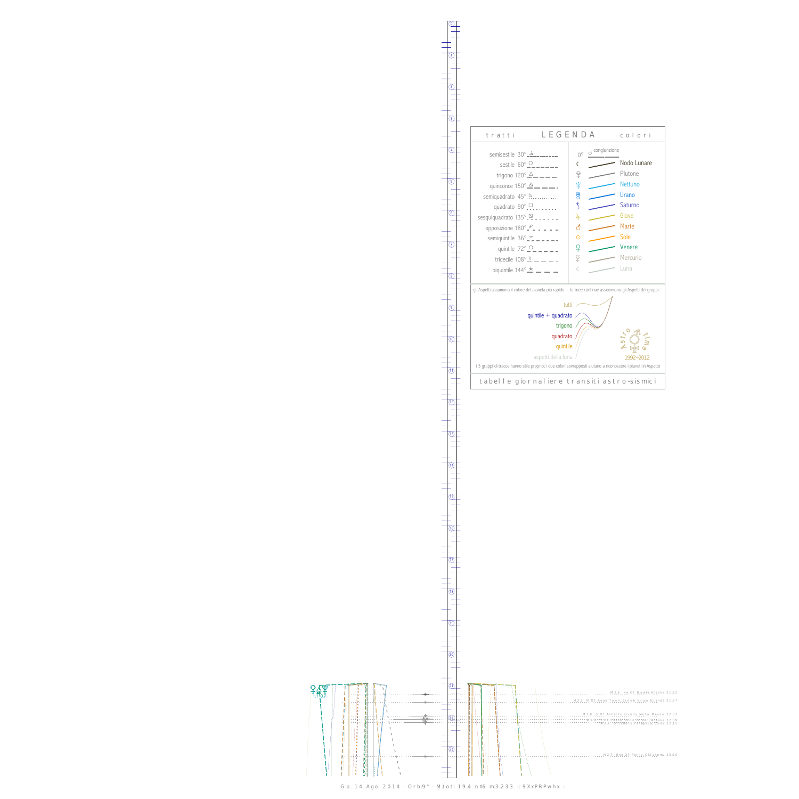